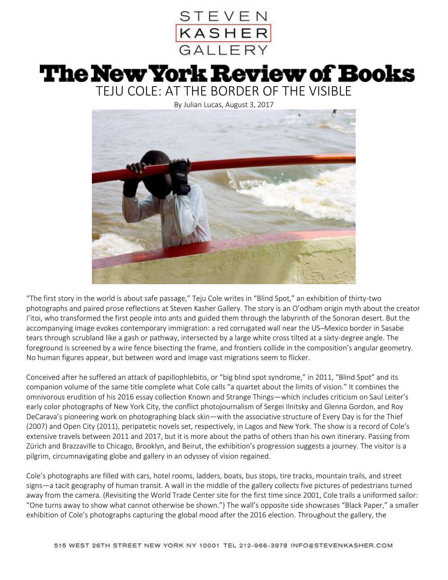

## **The New York Review of Books**

TEJU COLE: AT THE BORDER OF THE VISIBLE

By Julian Lucas, August 3, 2017



"The first story in the world is about safe passage," Teju Cole writes in "Blind Spot," an exhibition of thirty-two photographs and paired prose reflections at Steven Kasher Gallery. The story is an O'odham origin myth about the creator I'itoi, who transformed the first people into ants and guided them through the labyrinth of the Sonoran desert. But the accompanying image evokes contemporary immigration: a red corrugated wall near the US–Mexico border in Sasabe tears through scrubland like a gash or pathway, intersected by a large white cross tilted at a sixty-degree angle. The foreground is screened by a wire fence bisecting the frame, and frontiers collide in the composition's angular geometry. No human figures appear, but between word and image vast migrations seem to flicker.

Conceived after he suffered an attack of papillophlebitis, or "big blind spot syndrome," in 2011, "Blind Spot" and its companion volume of the same title complete what Cole calls "a quartet about the limits of vision." It combines the omnivorous erudition of his 2016 essay collection Known and Strange Things—which includes criticism on Saul Leiter's early color photographs of New York City, the conflict photojournalism of Sergei Ilnitsky and Glenna Gordon, and Roy DeCarava's pioneering work on photographing black skin—with the associative structure of Every Day is for the Thief (2007) and Open City (2011), peripatetic novels set, respectively, in Lagos and New York. The show is a record of Cole's extensive travels between 2011 and 2017, but it is more about the paths of others than his own itinerary. Passing from Zürich and Brazzaville to Chicago, Brooklyn, and Beirut, the exhibition's progression suggests a journey. The visitor is a pilgrim, circumnavigating globe and gallery in an odyssey of vision regained.

Cole's photographs are filled with cars, hotel rooms, ladders, boats, bus stops, tire tracks, mountain trails, and street signs—a tacit geography of human transit. A wall in the middle of the gallery collects five pictures of pedestrians turned away from the camera. (Revisiting the World Trade Center site for the first time since 2001, Cole trails a uniformed sailor: "One turns away to show what cannot otherwise be shown.") The wall's opposite side showcases "Black Paper," a smaller exhibition of Cole's photographs capturing the global mood after the 2016 election. Throughout the gallery, the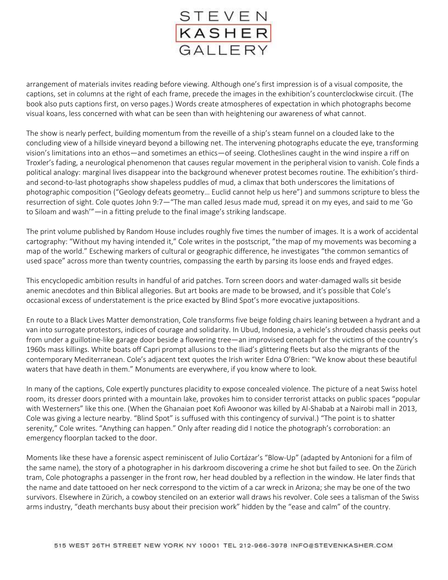

arrangement of materials invites reading before viewing. Although one's first impression is of a visual composite, the captions, set in columns at the right of each frame, precede the images in the exhibition's counterclockwise circuit. (The book also puts captions first, on verso pages.) Words create atmospheres of expectation in which photographs become visual koans, less concerned with what can be seen than with heightening our awareness of what cannot.

The show is nearly perfect, building momentum from the reveille of a ship's steam funnel on a clouded lake to the concluding view of a hillside vineyard beyond a billowing net. The intervening photographs educate the eye, transforming vision's limitations into an ethos—and sometimes an ethics—of seeing. Clotheslines caught in the wind inspire a riff on Troxler's fading, a neurological phenomenon that causes regular movement in the peripheral vision to vanish. Cole finds a political analogy: marginal lives disappear into the background whenever protest becomes routine. The exhibition's thirdand second-to-last photographs show shapeless puddles of mud, a climax that both underscores the limitations of photographic composition ("Geology defeats geometry… Euclid cannot help us here") and summons scripture to bless the resurrection of sight. Cole quotes John 9:7—"The man called Jesus made mud, spread it on my eyes, and said to me 'Go to Siloam and wash'"—in a fitting prelude to the final image's striking landscape.

The print volume published by Random House includes roughly five times the number of images. It is a work of accidental cartography: "Without my having intended it," Cole writes in the postscript, "the map of my movements was becoming a map of the world." Eschewing markers of cultural or geographic difference, he investigates "the common semantics of used space" across more than twenty countries, compassing the earth by parsing its loose ends and frayed edges.

This encyclopedic ambition results in handful of arid patches. Torn screen doors and water-damaged walls sit beside anemic anecdotes and thin Biblical allegories. But art books are made to be browsed, and it's possible that Cole's occasional excess of understatement is the price exacted by Blind Spot's more evocative juxtapositions.

En route to a Black Lives Matter demonstration, Cole transforms five beige folding chairs leaning between a hydrant and a van into surrogate protestors, indices of courage and solidarity. In Ubud, Indonesia, a vehicle's shrouded chassis peeks out from under a guillotine-like garage door beside a flowering tree—an improvised cenotaph for the victims of the country's 1960s mass killings. White boats off Capri prompt allusions to the Iliad's glittering fleets but also the migrants of the contemporary Mediterranean. Cole's adjacent text quotes the Irish writer Edna O'Brien: "We know about these beautiful waters that have death in them." Monuments are everywhere, if you know where to look.

In many of the captions, Cole expertly punctures placidity to expose concealed violence. The picture of a neat Swiss hotel room, its dresser doors printed with a mountain lake, provokes him to consider terrorist attacks on public spaces "popular with Westerners" like this one. (When the Ghanaian poet Kofi Awoonor was killed by Al-Shabab at a Nairobi mall in 2013, Cole was giving a lecture nearby. "Blind Spot" is suffused with this contingency of survival.) "The point is to shatter serenity," Cole writes. "Anything can happen." Only after reading did I notice the photograph's corroboration: an emergency floorplan tacked to the door.

Moments like these have a forensic aspect reminiscent of Julio Cortázar's "Blow-Up" (adapted by Antonioni for a film of the same name), the story of a photographer in his darkroom discovering a crime he shot but failed to see. On the Zürich tram, Cole photographs a passenger in the front row, her head doubled by a reflection in the window. He later finds that the name and date tattooed on her neck correspond to the victim of a car wreck in Arizona; she may be one of the two survivors. Elsewhere in Zürich, a cowboy stenciled on an exterior wall draws his revolver. Cole sees a talisman of the Swiss arms industry, "death merchants busy about their precision work" hidden by the "ease and calm" of the country.